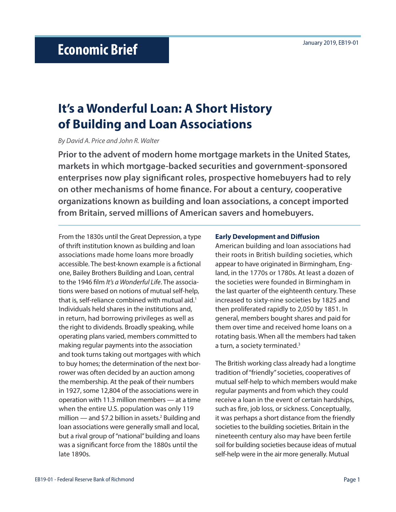# **It's a Wonderful Loan: A Short History of Building and Loan Associations**

*By David A. Price and John R. Walter*

**Prior to the advent of modern home mortgage markets in the United States, markets in which mortgage-backed securities and government-sponsored enterprises now play significant roles, prospective homebuyers had to rely on other mechanisms of home finance. For about a century, cooperative organizations known as building and loan associations, a concept imported from Britain, served millions of American savers and homebuyers.**

From the 1830s until the Great Depression, a type of thrift institution known as building and loan associations made home loans more broadly accessible. The best-known example is a fictional one, Bailey Brothers Building and Loan, central to the 1946 film *It's a Wonderful Life*. The associations were based on notions of mutual self-help, that is, self-reliance combined with mutual aid.<sup>1</sup> Individuals held shares in the institutions and, in return, had borrowing privileges as well as the right to dividends. Broadly speaking, while operating plans varied, members committed to making regular payments into the association and took turns taking out mortgages with which to buy homes; the determination of the next borrower was often decided by an auction among the membership. At the peak of their numbers in 1927, some 12,804 of the associations were in operation with 11.3 million members — at a time when the entire U.S. population was only 119 million — and \$7.2 billion in assets.<sup>2</sup> Building and loan associations were generally small and local, but a rival group of "national" building and loans was a significant force from the 1880s until the late 1890s.

#### **Early Development and Diffusion**

American building and loan associations had their roots in British building societies, which appear to have originated in Birmingham, England, in the 1770s or 1780s. At least a dozen of the societies were founded in Birmingham in the last quarter of the eighteenth century. These increased to sixty-nine societies by 1825 and then proliferated rapidly to 2,050 by 1851. In general, members bought shares and paid for them over time and received home loans on a rotating basis. When all the members had taken a turn, a society terminated.<sup>3</sup>

The British working class already had a longtime tradition of "friendly" societies, cooperatives of mutual self-help to which members would make regular payments and from which they could receive a loan in the event of certain hardships, such as fire, job loss, or sickness. Conceptually, it was perhaps a short distance from the friendly societies to the building societies. Britain in the nineteenth century also may have been fertile soil for building societies because ideas of mutual self-help were in the air more generally. Mutual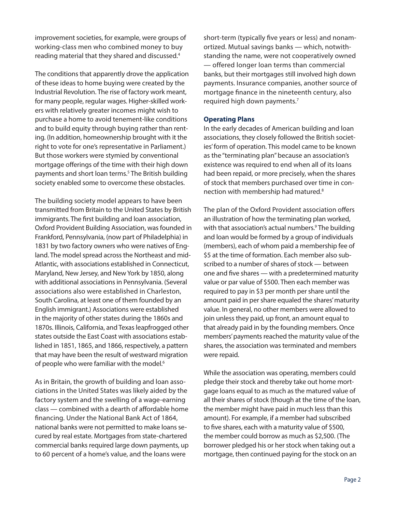improvement societies, for example, were groups of working-class men who combined money to buy reading material that they shared and discussed.4

The conditions that apparently drove the application of these ideas to home buying were created by the Industrial Revolution. The rise of factory work meant, for many people, regular wages. Higher-skilled workers with relatively greater incomes might wish to purchase a home to avoid tenement-like conditions and to build equity through buying rather than renting. (In addition, homeownership brought with it the right to vote for one's representative in Parliament.) But those workers were stymied by conventional mortgage offerings of the time with their high down payments and short loan terms.<sup>5</sup> The British building society enabled some to overcome these obstacles.

The building society model appears to have been transmitted from Britain to the United States by British immigrants. The first building and loan association, Oxford Provident Building Association, was founded in Frankford, Pennsylvania, (now part of Philadelphia) in 1831 by two factory owners who were natives of England. The model spread across the Northeast and mid-Atlantic, with associations established in Connecticut, Maryland, New Jersey, and New York by 1850, along with additional associations in Pennsylvania. (Several associations also were established in Charleston, South Carolina, at least one of them founded by an English immigrant.) Associations were established in the majority of other states during the 1860s and 1870s. Illinois, California, and Texas leapfrogged other states outside the East Coast with associations established in 1851, 1865, and 1866, respectively, a pattern that may have been the result of westward migration of people who were familiar with the model.<sup>6</sup>

As in Britain, the growth of building and loan associations in the United States was likely aided by the factory system and the swelling of a wage-earning class — combined with a dearth of affordable home financing. Under the National Bank Act of 1864, national banks were not permitted to make loans secured by real estate. Mortgages from state-chartered commercial banks required large down payments, up to 60 percent of a home's value, and the loans were

short-term (typically five years or less) and nonamortized. Mutual savings banks — which, notwithstanding the name, were not cooperatively owned — offered longer loan terms than commercial banks, but their mortgages still involved high down payments. Insurance companies, another source of mortgage finance in the nineteenth century, also required high down payments.7

#### **Operating Plans**

In the early decades of American building and loan associations, they closely followed the British societies' form of operation. This model came to be known as the "terminating plan" because an association's existence was required to end when all of its loans had been repaid, or more precisely, when the shares of stock that members purchased over time in connection with membership had matured.8

The plan of the Oxford Provident association offers an illustration of how the terminating plan worked, with that association's actual numbers.<sup>9</sup> The building and loan would be formed by a group of individuals (members), each of whom paid a membership fee of \$5 at the time of formation. Each member also subscribed to a number of shares of stock — between one and five shares — with a predetermined maturity value or par value of \$500. Then each member was required to pay in \$3 per month per share until the amount paid in per share equaled the shares' maturity value. In general, no other members were allowed to join unless they paid, up front, an amount equal to that already paid in by the founding members. Once members' payments reached the maturity value of the shares, the association was terminated and members were repaid.

While the association was operating, members could pledge their stock and thereby take out home mortgage loans equal to as much as the matured value of all their shares of stock (though at the time of the loan, the member might have paid in much less than this amount). For example, if a member had subscribed to five shares, each with a maturity value of \$500, the member could borrow as much as \$2,500. (The borrower pledged his or her stock when taking out a mortgage, then continued paying for the stock on an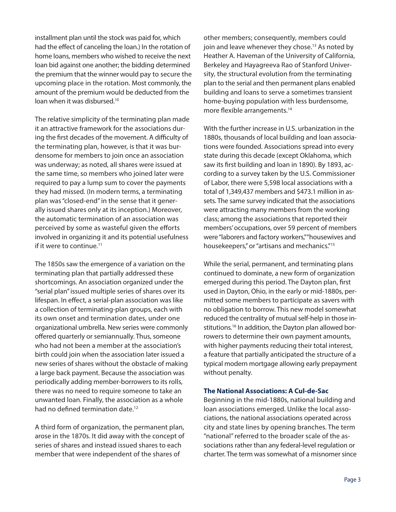installment plan until the stock was paid for, which had the effect of canceling the loan.) In the rotation of home loans, members who wished to receive the next loan bid against one another; the bidding determined the premium that the winner would pay to secure the upcoming place in the rotation. Most commonly, the amount of the premium would be deducted from the loan when it was disbursed.<sup>10</sup>

The relative simplicity of the terminating plan made it an attractive framework for the associations during the first decades of the movement. A difficulty of the terminating plan, however, is that it was burdensome for members to join once an association was underway; as noted, all shares were issued at the same time, so members who joined later were required to pay a lump sum to cover the payments they had missed. (In modern terms, a terminating plan was "closed-end" in the sense that it generally issued shares only at its inception.) Moreover, the automatic termination of an association was perceived by some as wasteful given the efforts involved in organizing it and its potential usefulness if it were to continue.<sup>11</sup>

The 1850s saw the emergence of a variation on the terminating plan that partially addressed these shortcomings. An association organized under the "serial plan" issued multiple series of shares over its lifespan. In effect, a serial-plan association was like a collection of terminating-plan groups, each with its own onset and termination dates, under one organizational umbrella. New series were commonly offered quarterly or semiannually. Thus, someone who had not been a member at the association's birth could join when the association later issued a new series of shares without the obstacle of making a large back payment. Because the association was periodically adding member-borrowers to its rolls, there was no need to require someone to take an unwanted loan. Finally, the association as a whole had no defined termination date.<sup>12</sup>

A third form of organization, the permanent plan, arose in the 1870s. It did away with the concept of series of shares and instead issued shares to each member that were independent of the shares of

other members; consequently, members could join and leave whenever they chose.<sup>13</sup> As noted by Heather A. Haveman of the University of California, Berkeley and Hayagreeva Rao of Stanford University, the structural evolution from the terminating plan to the serial and then permanent plans enabled building and loans to serve a sometimes transient home-buying population with less burdensome, more flexible arrangements.<sup>14</sup>

With the further increase in U.S. urbanization in the 1880s, thousands of local building and loan associations were founded. Associations spread into every state during this decade (except Oklahoma, which saw its first building and loan in 1890). By 1893, according to a survey taken by the U.S. Commissioner of Labor, there were 5,598 local associations with a total of 1,349,437 members and \$473.1 million in assets. The same survey indicated that the associations were attracting many members from the working class; among the associations that reported their members' occupations, over 59 percent of members were "laborers and factory workers," "housewives and housekeepers," or "artisans and mechanics."15

While the serial, permanent, and terminating plans continued to dominate, a new form of organization emerged during this period. The Dayton plan, first used in Dayton, Ohio, in the early or mid-1880s, permitted some members to participate as savers with no obligation to borrow. This new model somewhat reduced the centrality of mutual self-help in those institutions.<sup>16</sup> In addition, the Dayton plan allowed borrowers to determine their own payment amounts, with higher payments reducing their total interest, a feature that partially anticipated the structure of a typical modern mortgage allowing early prepayment without penalty.

## **The National Associations: A Cul-de-Sac**

Beginning in the mid-1880s, national building and loan associations emerged. Unlike the local associations, the national associations operated across city and state lines by opening branches. The term "national" referred to the broader scale of the associations rather than any federal-level regulation or charter. The term was somewhat of a misnomer since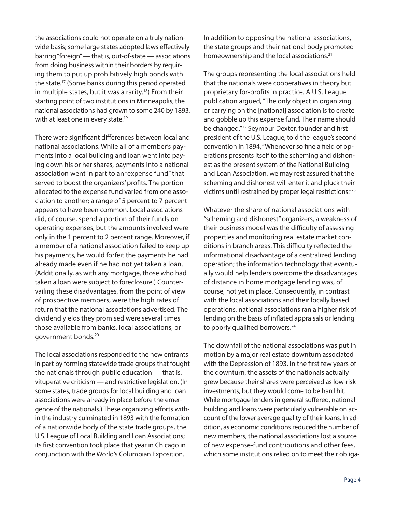the associations could not operate on a truly nationwide basis; some large states adopted laws effectively barring "foreign" — that is, out-of-state — associations from doing business within their borders by requiring them to put up prohibitively high bonds with the state.17 (Some banks during this period operated in multiple states, but it was a rarity.<sup>18</sup>) From their starting point of two institutions in Minneapolis, the national associations had grown to some 240 by 1893, with at least one in every state.<sup>19</sup>

There were significant differences between local and national associations. While all of a member's payments into a local building and loan went into paying down his or her shares, payments into a national association went in part to an "expense fund" that served to boost the organizers' profits. The portion allocated to the expense fund varied from one association to another; a range of 5 percent to 7 percent appears to have been common. Local associations did, of course, spend a portion of their funds on operating expenses, but the amounts involved were only in the 1 percent to 2 percent range. Moreover, if a member of a national association failed to keep up his payments, he would forfeit the payments he had already made even if he had not yet taken a loan. (Additionally, as with any mortgage, those who had taken a loan were subject to foreclosure.) Countervailing these disadvantages, from the point of view of prospective members, were the high rates of return that the national associations advertised. The dividend yields they promised were several times those available from banks, local associations, or government bonds.20

The local associations responded to the new entrants in part by forming statewide trade groups that fought the nationals through public education — that is, vituperative criticism — and restrictive legislation. (In some states, trade groups for local building and loan associations were already in place before the emergence of the nationals.) These organizing efforts within the industry culminated in 1893 with the formation of a nationwide body of the state trade groups, the U.S. League of Local Building and Loan Associations; its first convention took place that year in Chicago in conjunction with the World's Columbian Exposition.

In addition to opposing the national associations, the state groups and their national body promoted homeownership and the local associations.<sup>21</sup>

The groups representing the local associations held that the nationals were cooperatives in theory but proprietary for-profits in practice. A U.S. League publication argued, "The only object in organizing or carrying on the [national] association is to create and gobble up this expense fund. Their name should be changed."22 Seymour Dexter, founder and first president of the U.S. League, told the league's second convention in 1894, "Whenever so fine a field of operations presents itself to the scheming and dishonest as the present system of the National Building and Loan Association, we may rest assured that the scheming and dishonest will enter it and pluck their victims until restrained by proper legal restrictions."23

Whatever the share of national associations with "scheming and dishonest" organizers, a weakness of their business model was the difficulty of assessing properties and monitoring real estate market conditions in branch areas. This difficulty reflected the informational disadvantage of a centralized lending operation; the information technology that eventually would help lenders overcome the disadvantages of distance in home mortgage lending was, of course, not yet in place. Consequently, in contrast with the local associations and their locally based operations, national associations ran a higher risk of lending on the basis of inflated appraisals or lending to poorly qualified borrowers.<sup>24</sup>

The downfall of the national associations was put in motion by a major real estate downturn associated with the Depression of 1893. In the first few years of the downturn, the assets of the nationals actually grew because their shares were perceived as low-risk investments, but they would come to be hard hit. While mortgage lenders in general suffered, national building and loans were particularly vulnerable on account of the lower average quality of their loans. In addition, as economic conditions reduced the number of new members, the national associations lost a source of new expense-fund contributions and other fees, which some institutions relied on to meet their obliga-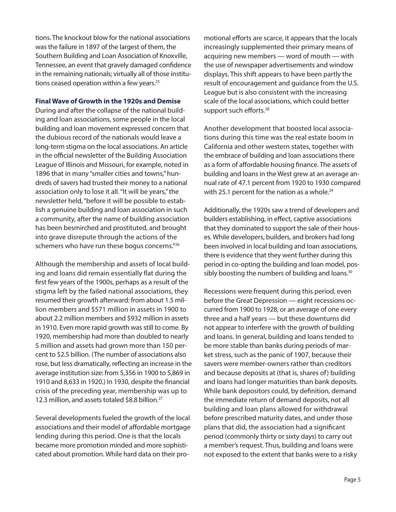tions. The knockout blow for the national associations was the failure in 1897 of the largest of them, the Southern Building and Loan Association of Knoxville, Tennessee, an event that gravely damaged confidence in the remaining nationals; virtually all of those institutions ceased operation within a few years.<sup>25</sup>

## **Final Wave of Growth in the 1920s and Demise**

During and after the collapse of the national building and loan associations, some people in the local building and loan movement expressed concern that the dubious record of the nationals would leave a long-term stigma on the local associations. An article in the official newsletter of the Building Association League of Illinois and Missouri, for example, noted in 1896 that in many "smaller cities and towns," hundreds of savers had trusted their money to a national association only to lose it all. "It will be years," the newsletter held, "before it will be possible to establish a genuine building and loan association in such a community, after the name of building association has been besmirched and prostituted, and brought into grave disrepute through the actions of the schemers who have run these bogus concerns."<sup>26</sup>

Although the membership and assets of local building and loans did remain essentially flat during the first few years of the 1900s, perhaps as a result of the stigma left by the failed national associations, they resumed their growth afterward: from about 1.5 million members and \$571 million in assets in 1900 to about 2.2 million members and \$932 million in assets in 1910. Even more rapid growth was still to come. By 1920, membership had more than doubled to nearly 5 million and assets had grown more than 150 percent to \$2.5 billion. (The number of associations also rose, but less dramatically, reflecting an increase in the average institution size: from 5,356 in 1900 to 5,869 in 1910 and 8,633 in 1920.) In 1930, despite the financial crisis of the preceding year, membership was up to 12.3 million, and assets totaled \$8.8 billion.27

Several developments fueled the growth of the local associations and their model of affordable mortgage lending during this period. One is that the locals became more promotion minded and more sophisticated about promotion. While hard data on their pro-

motional efforts are scarce, it appears that the locals increasingly supplemented their primary means of acquiring new members — word of mouth — with the use of newspaper advertisements and window displays. This shift appears to have been partly the result of encouragement and guidance from the U.S. League but is also consistent with the increasing scale of the local associations, which could better support such efforts.<sup>28</sup>

Another development that boosted local associations during this time was the real estate boom in California and other western states, together with the embrace of building and loan associations there as a form of affordable housing finance. The assets of building and loans in the West grew at an average annual rate of 47.1 percent from 1920 to 1930 compared with 25.1 percent for the nation as a whole.<sup>29</sup>

Additionally, the 1920s saw a trend of developers and builders establishing, in effect, captive associations that they dominated to support the sale of their houses. While developers, builders, and brokers had long been involved in local building and loan associations, there is evidence that they went further during this period in co-opting the building and loan model, possibly boosting the numbers of building and loans.<sup>30</sup>

Recessions were frequent during this period, even before the Great Depression — eight recessions occurred from 1900 to 1928, or an average of one every three and a half years — but these downturns did not appear to interfere with the growth of building and loans. In general, building and loans tended to be more stable than banks during periods of market stress, such as the panic of 1907, because their savers were member-owners rather than creditors and because deposits at (that is, shares of) building and loans had longer maturities than bank deposits. While bank depositors could, by definition, demand the immediate return of demand deposits, not all building and loan plans allowed for withdrawal before prescribed maturity dates, and under those plans that did, the association had a significant period (commonly thirty or sixty days) to carry out a member's request. Thus, building and loans were not exposed to the extent that banks were to a risky